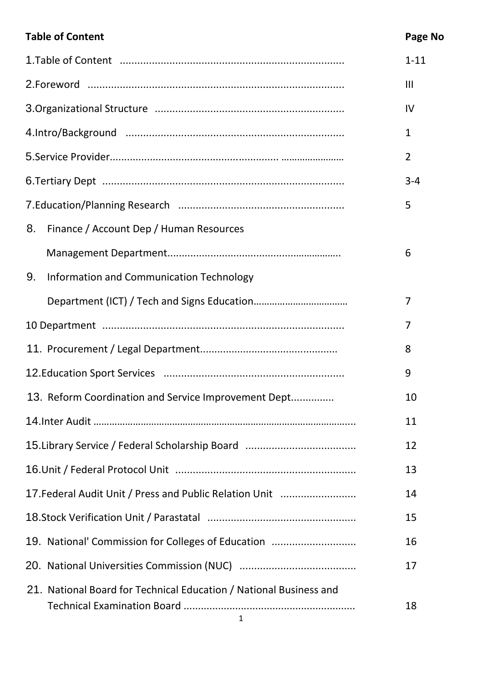# **Table of Content Content Content Content Content Content Content Content Content Content Content Content Content**

|                                                                         | $1 - 11$       |
|-------------------------------------------------------------------------|----------------|
|                                                                         | III            |
|                                                                         | IV             |
|                                                                         | $\mathbf{1}$   |
|                                                                         | $\overline{2}$ |
|                                                                         | $3 - 4$        |
|                                                                         | 5              |
| Finance / Account Dep / Human Resources<br>8.                           |                |
|                                                                         | 6              |
| Information and Communication Technology<br>9.                          |                |
|                                                                         | 7              |
|                                                                         | 7              |
|                                                                         | 8              |
|                                                                         | 9              |
| 13. Reform Coordination and Service Improvement Dept                    | 10             |
|                                                                         | 11             |
|                                                                         | 12             |
|                                                                         | 13             |
| 17. Federal Audit Unit / Press and Public Relation Unit                 | 14             |
|                                                                         | 15             |
| 19. National' Commission for Colleges of Education                      | 16             |
|                                                                         | 17             |
| 21. National Board for Technical Education / National Business and<br>1 | 18             |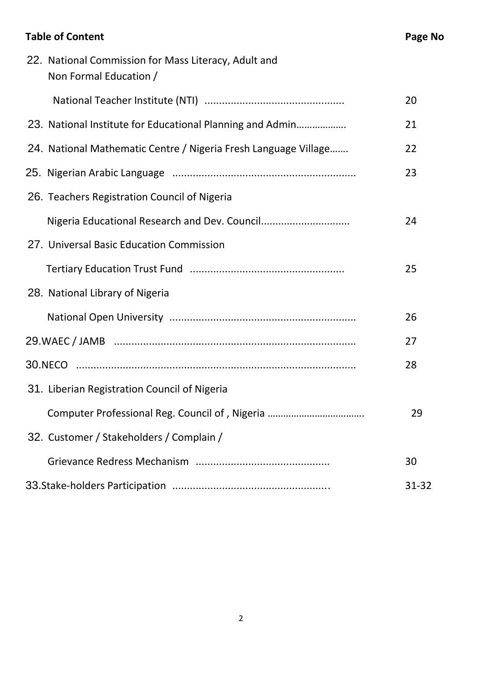# **Table of Content Content Content Content Content Content Content Content Content Content Content Content Content**

| 22. National Commission for Mass Literacy, Adult and<br>Non Formal Education / |       |
|--------------------------------------------------------------------------------|-------|
|                                                                                | 20    |
| 23. National Institute for Educational Planning and Admin                      | 21    |
| 24. National Mathematic Centre / Nigeria Fresh Language Village                | 22    |
|                                                                                | 23    |
| 26. Teachers Registration Council of Nigeria                                   |       |
| Nigeria Educational Research and Dev. Council                                  | 24    |
| 27. Universal Basic Education Commission                                       |       |
|                                                                                | 25    |
| 28. National Library of Nigeria                                                |       |
|                                                                                | 26    |
|                                                                                | 27    |
|                                                                                | 28    |
| 31. Liberian Registration Council of Nigeria                                   |       |
| Computer Professional Reg. Council of, Nigeria                                 | 29    |
| 32. Customer / Stakeholders / Complain /                                       |       |
|                                                                                | 30    |
|                                                                                | 31-32 |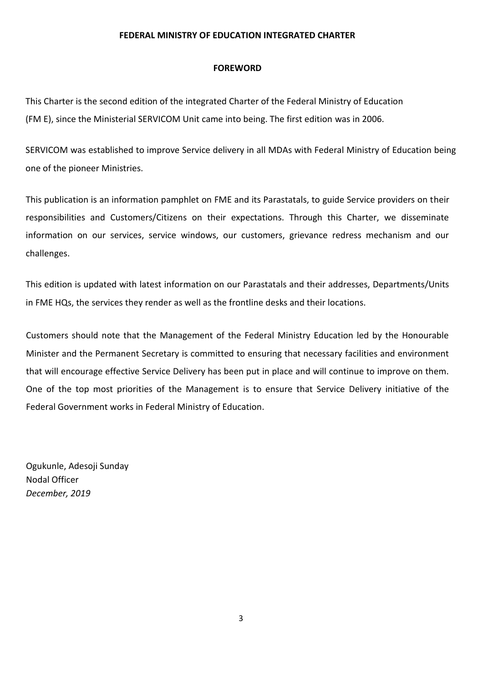#### **FEDERAL MINISTRY OF EDUCATION INTEGRATED CHARTER**

#### **FOREWORD**

This Charter is the second edition of the integrated Charter of the Federal Ministry of Education (FM E), since the Ministerial SERVICOM Unit came into being. The first edition was in 2006.

SERVICOM was established to improve Service delivery in all MDAs with Federal Ministry of Education being one of the pioneer Ministries.

This publication is an information pamphlet on FME and its Parastatals, to guide Service providers on their responsibilities and Customers/Citizens on their expectations. Through this Charter, we disseminate information on our services, service windows, our customers, grievance redress mechanism and our challenges.

This edition is updated with latest information on our Parastatals and their addresses, Departments/Units in FME HQs, the services they render as well as the frontline desks and their locations.

Customers should note that the Management of the Federal Ministry Education led by the Honourable Minister and the Permanent Secretary is committed to ensuring that necessary facilities and environment that will encourage effective Service Delivery has been put in place and will continue to improve on them. One of the top most priorities of the Management is to ensure that Service Delivery initiative of the Federal Government works in Federal Ministry of Education.

Ogukunle, Adesoji Sunday Nodal Officer *December, 2019*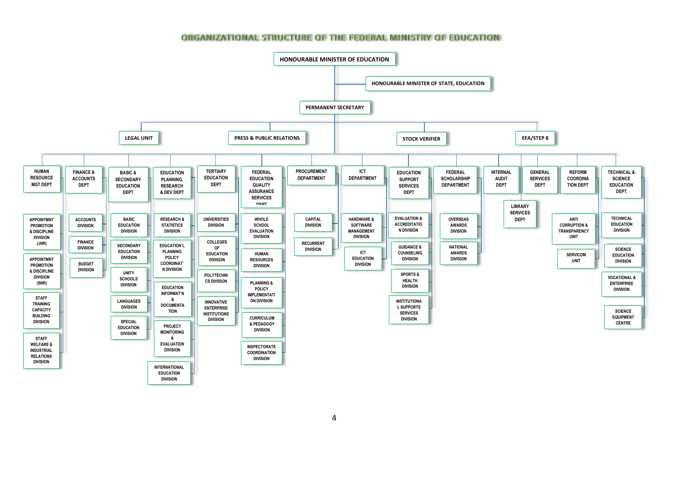#### **ORGANIZATIONAL STRUCTURE OF THE FEDERAL MINISTRY OF EDUCATION**

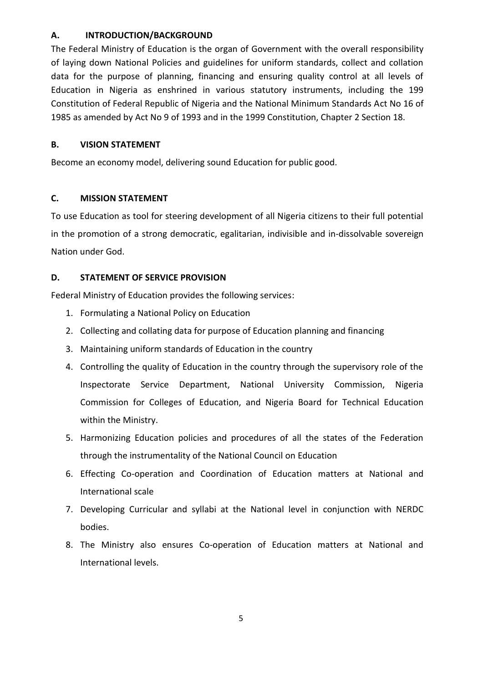#### **A. INTRODUCTION/BACKGROUND**

The Federal Ministry of Education is the organ of Government with the overall responsibility of laying down National Policies and guidelines for uniform standards, collect and collation data for the purpose of planning, financing and ensuring quality control at all levels of Education in Nigeria as enshrined in various statutory instruments, including the 199 Constitution of Federal Republic of Nigeria and the National Minimum Standards Act No 16 of 1985 as amended by Act No 9 of 1993 and in the 1999 Constitution, Chapter 2 Section 18.

### **B. VISION STATEMENT**

Become an economy model, delivering sound Education for public good.

### **C. MISSION STATEMENT**

To use Education as tool for steering development of all Nigeria citizens to their full potential in the promotion of a strong democratic, egalitarian, indivisible and in-dissolvable sovereign Nation under God.

### **D. STATEMENT OF SERVICE PROVISION**

Federal Ministry of Education provides the following services:

- 1. Formulating a National Policy on Education
- 2. Collecting and collating data for purpose of Education planning and financing
- 3. Maintaining uniform standards of Education in the country
- 4. Controlling the quality of Education in the country through the supervisory role of the Inspectorate Service Department, National University Commission, Nigeria Commission for Colleges of Education, and Nigeria Board for Technical Education within the Ministry.
- 5. Harmonizing Education policies and procedures of all the states of the Federation through the instrumentality of the National Council on Education
- 6. Effecting Co-operation and Coordination of Education matters at National and International scale
- 7. Developing Curricular and syllabi at the National level in conjunction with NERDC bodies.
- 8. The Ministry also ensures Co-operation of Education matters at National and International levels.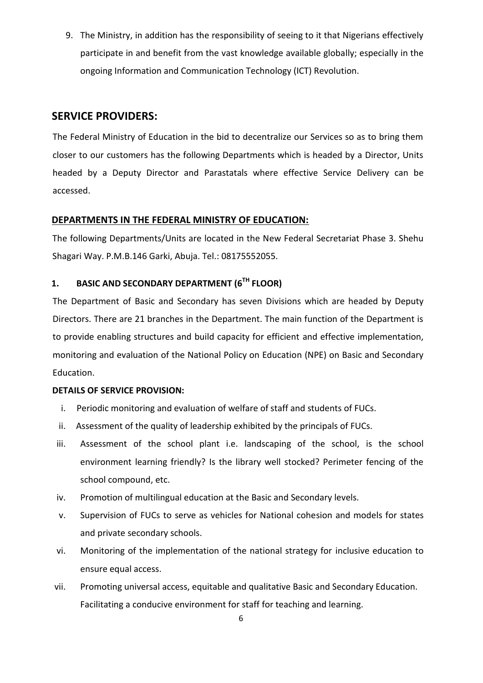9. The Ministry, in addition has the responsibility of seeing to it that Nigerians effectively participate in and benefit from the vast knowledge available globally; especially in the ongoing Information and Communication Technology (ICT) Revolution.

### **SERVICE PROVIDERS:**

The Federal Ministry of Education in the bid to decentralize our Services so as to bring them closer to our customers has the following Departments which is headed by a Director, Units headed by a Deputy Director and Parastatals where effective Service Delivery can be accessed.

### **DEPARTMENTS IN THE FEDERAL MINISTRY OF EDUCATION:**

The following Departments/Units are located in the New Federal Secretariat Phase 3. Shehu Shagari Way. P.M.B.146 Garki, Abuja. Tel.: 08175552055.

### **1. BASIC AND SECONDARY DEPARTMENT (6TH FLOOR)**

The Department of Basic and Secondary has seven Divisions which are headed by Deputy Directors. There are 21 branches in the Department. The main function of the Department is to provide enabling structures and build capacity for efficient and effective implementation, monitoring and evaluation of the National Policy on Education (NPE) on Basic and Secondary Education.

- i. Periodic monitoring and evaluation of welfare of staff and students of FUCs.
- ii. Assessment of the quality of leadership exhibited by the principals of FUCs.
- iii. Assessment of the school plant i.e. landscaping of the school, is the school environment learning friendly? Is the library well stocked? Perimeter fencing of the school compound, etc.
- iv. Promotion of multilingual education at the Basic and Secondary levels.
- v. Supervision of FUCs to serve as vehicles for National cohesion and models for states and private secondary schools.
- vi. Monitoring of the implementation of the national strategy for inclusive education to ensure equal access.
- vii. Promoting universal access, equitable and qualitative Basic and Secondary Education. Facilitating a conducive environment for staff for teaching and learning.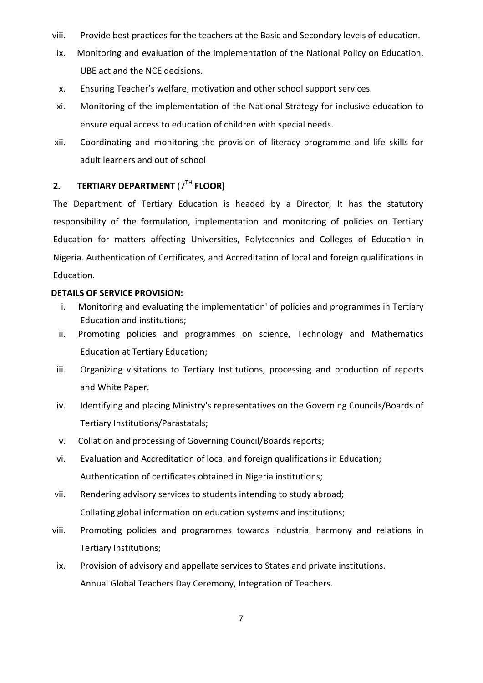- viii. Provide best practices for the teachers at the Basic and Secondary levels of education.
- ix. Monitoring and evaluation of the implementation of the National Policy on Education, UBE act and the NCE decisions.
- x. Ensuring Teacher's welfare, motivation and other school support services.
- xi. Monitoring of the implementation of the National Strategy for inclusive education to ensure equal access to education of children with special needs.
- xii. Coordinating and monitoring the provision of literacy programme and life skills for adult learners and out of school

### **2. TERTIARY DEPARTMENT** (7TH **FLOOR)**

The Department of Tertiary Education is headed by a Director, It has the statutory responsibility of the formulation, implementation and monitoring of policies on Tertiary Education for matters affecting Universities, Polytechnics and Colleges of Education in Nigeria. Authentication of Certificates, and Accreditation of local and foreign qualifications in Education.

- i. Monitoring and evaluating the implementation' of policies and programmes in Tertiary Education and institutions;
- ii. Promoting policies and programmes on science, Technology and Mathematics Education at Tertiary Education;
- iii. Organizing visitations to Tertiary Institutions, processing and production of reports and White Paper.
- iv. Identifying and placing Ministry's representatives on the Governing Councils/Boards of Tertiary Institutions/Parastatals;
- v. Collation and processing of Governing Council/Boards reports;
- vi. Evaluation and Accreditation of local and foreign qualifications in Education; Authentication of certificates obtained in Nigeria institutions;
- vii. Rendering advisory services to students intending to study abroad; Collating global information on education systems and institutions;
- viii. Promoting policies and programmes towards industrial harmony and relations in Tertiary Institutions;
- ix. Provision of advisory and appellate services to States and private institutions. Annual Global Teachers Day Ceremony, Integration of Teachers.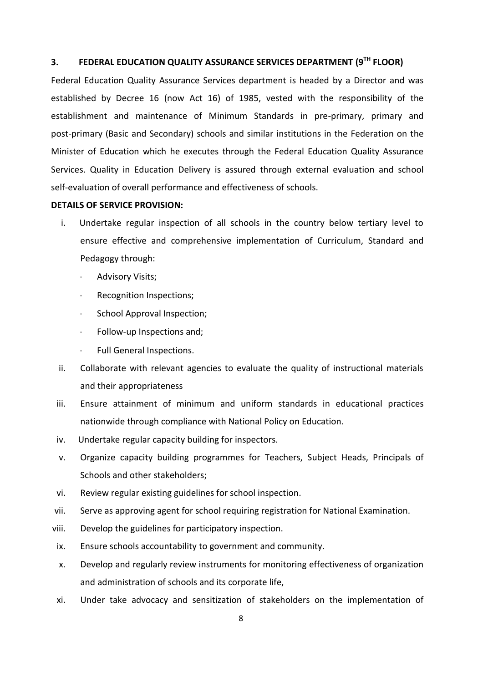### **3. FEDERAL EDUCATION QUALITY ASSURANCE SERVICES DEPARTMENT (9TH FLOOR)**

Federal Education Quality Assurance Services department is headed by a Director and was established by Decree 16 (now Act 16) of 1985, vested with the responsibility of the establishment and maintenance of Minimum Standards in pre-primary, primary and post-primary (Basic and Secondary) schools and similar institutions in the Federation on the Minister of Education which he executes through the Federal Education Quality Assurance Services. Quality in Education Delivery is assured through external evaluation and school self-evaluation of overall performance and effectiveness of schools.

- i. Undertake regular inspection of all schools in the country below tertiary level to ensure effective and comprehensive implementation of Curriculum, Standard and Pedagogy through:
	- Advisory Visits;
	- Recognition Inspections;
	- School Approval Inspection;
	- Follow-up Inspections and;
	- Full General Inspections.
- ii. Collaborate with relevant agencies to evaluate the quality of instructional materials and their appropriateness
- iii. Ensure attainment of minimum and uniform standards in educational practices nationwide through compliance with National Policy on Education.
- iv. Undertake regular capacity building for inspectors.
- v. Organize capacity building programmes for Teachers, Subject Heads, Principals of Schools and other stakeholders;
- vi. Review regular existing guidelines for school inspection.
- vii. Serve as approving agent for school requiring registration for National Examination.
- viii. Develop the guidelines for participatory inspection.
- ix. Ensure schools accountability to government and community.
- x. Develop and regularly review instruments for monitoring effectiveness of organization and administration of schools and its corporate life,
- xi. Under take advocacy and sensitization of stakeholders on the implementation of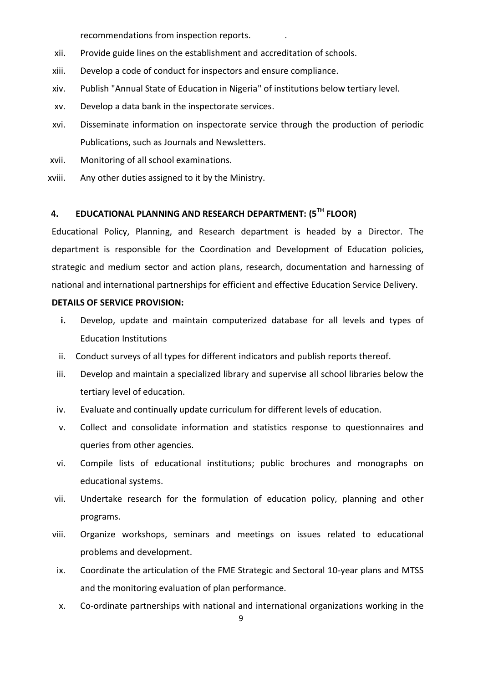recommendations from inspection reports. .

- xii. Provide guide lines on the establishment and accreditation of schools.
- xiii. Develop a code of conduct for inspectors and ensure compliance.
- xiv. Publish "Annual State of Education in Nigeria" of institutions below tertiary level.
- xv. Develop a data bank in the inspectorate services.
- xvi. Disseminate information on inspectorate service through the production of periodic Publications, such as Journals and Newsletters.
- xvii. Monitoring of all school examinations.
- xviii. Any other duties assigned to it by the Ministry.

### **4. EDUCATIONAL PLANNING AND RESEARCH DEPARTMENT: (5 TH FLOOR)**

Educational Policy, Planning, and Research department is headed by a Director. The department is responsible for the Coordination and Development of Education policies, strategic and medium sector and action plans, research, documentation and harnessing of national and international partnerships for efficient and effective Education Service Delivery.

- **i.** Develop, update and maintain computerized database for all levels and types of Education Institutions
- ii. Conduct surveys of all types for different indicators and publish reports thereof.
- iii. Develop and maintain a specialized library and supervise all school libraries below the tertiary level of education.
- iv. Evaluate and continually update curriculum for different levels of education.
- v. Collect and consolidate information and statistics response to questionnaires and queries from other agencies.
- vi. Compile lists of educational institutions; public brochures and monographs on educational systems.
- vii. Undertake research for the formulation of education policy, planning and other programs.
- viii. Organize workshops, seminars and meetings on issues related to educational problems and development.
- ix. Coordinate the articulation of the FME Strategic and Sectoral 10-year plans and MTSS and the monitoring evaluation of plan performance.
- x. Co-ordinate partnerships with national and international organizations working in the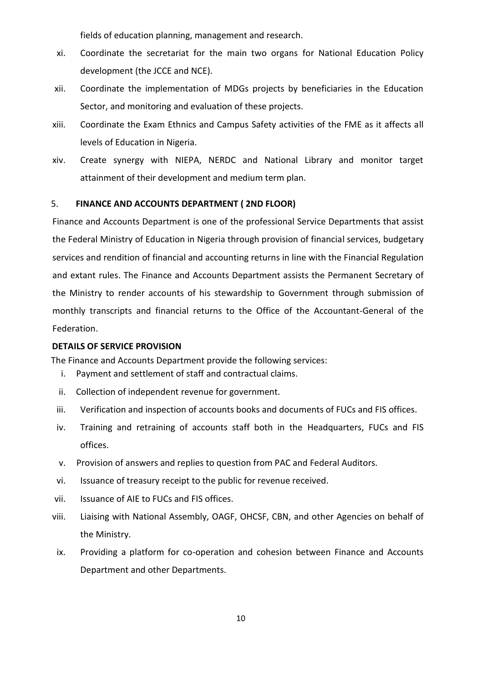fields of education planning, management and research.

- xi. Coordinate the secretariat for the main two organs for National Education Policy development (the JCCE and NCE).
- xii. Coordinate the implementation of MDGs projects by beneficiaries in the Education Sector, and monitoring and evaluation of these projects.
- xiii. Coordinate the Exam Ethnics and Campus Safety activities of the FME as it affects all levels of Education in Nigeria.
- xiv. Create synergy with NIEPA, NERDC and National Library and monitor target attainment of their development and medium term plan.

#### 5. **FINANCE AND ACCOUNTS DEPARTMENT ( 2ND FLOOR)**

Finance and Accounts Department is one of the professional Service Departments that assist the Federal Ministry of Education in Nigeria through provision of financial services, budgetary services and rendition of financial and accounting returns in line with the Financial Regulation and extant rules. The Finance and Accounts Department assists the Permanent Secretary of the Ministry to render accounts of his stewardship to Government through submission of monthly transcripts and financial returns to the Office of the Accountant-General of the Federation.

#### **DETAILS OF SERVICE PROVISION**

The Finance and Accounts Department provide the following services:

- i. Payment and settlement of staff and contractual claims.
- ii. Collection of independent revenue for government.
- iii. Verification and inspection of accounts books and documents of FUCs and FIS offices.
- iv. Training and retraining of accounts staff both in the Headquarters, FUCs and FIS offices.
- v. Provision of answers and replies to question from PAC and Federal Auditors.
- vi. Issuance of treasury receipt to the public for revenue received.
- vii. Issuance of AIE to FUCs and FIS offices.
- viii. Liaising with National Assembly, OAGF, OHCSF, CBN, and other Agencies on behalf of the Ministry.
- ix. Providing a platform for co-operation and cohesion between Finance and Accounts Department and other Departments.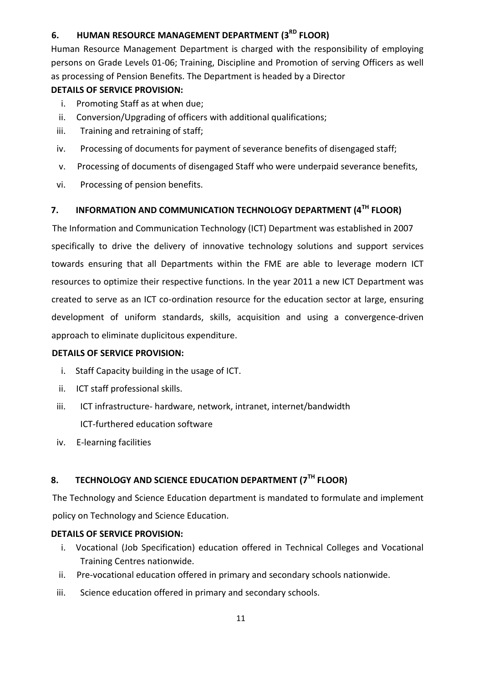# **6. HUMAN RESOURCE MANAGEMENT DEPARTMENT (3RD FLOOR)**

Human Resource Management Department is charged with the responsibility of employing persons on Grade Levels 01-06; Training, Discipline and Promotion of serving Officers as well as processing of Pension Benefits. The Department is headed by a Director

### **DETAILS OF SERVICE PROVISION:**

- i. Promoting Staff as at when due;
- ii. Conversion/Upgrading of officers with additional qualifications;
- iii. Training and retraining of staff;
- iv. Processing of documents for payment of severance benefits of disengaged staff;
- v. Processing of documents of disengaged Staff who were underpaid severance benefits,
- vi. Processing of pension benefits.

### **7. INFORMATION AND COMMUNICATION TECHNOLOGY DEPARTMENT (4TH FLOOR)**

The Information and Communication Technology (ICT) Department was established in 2007 specifically to drive the delivery of innovative technology solutions and support services towards ensuring that all Departments within the FME are able to leverage modern ICT resources to optimize their respective functions. In the year 2011 a new ICT Department was created to serve as an ICT co-ordination resource for the education sector at large, ensuring development of uniform standards, skills, acquisition and using a convergence-driven approach to eliminate duplicitous expenditure.

### **DETAILS OF SERVICE PROVISION:**

- i. Staff Capacity building in the usage of ICT.
- ii. ICT staff professional skills.
- iii. ICT infrastructure- hardware, network, intranet, internet/bandwidth ICT-furthered education software
- iv. E-learning facilities

### **8. TECHNOLOGY AND SCIENCE EDUCATION DEPARTMENT (7TH FLOOR)**

The Technology and Science Education department is mandated to formulate and implement policy on Technology and Science Education.

- i. Vocational (Job Specification) education offered in Technical Colleges and Vocational Training Centres nationwide.
- ii. Pre-vocational education offered in primary and secondary schools nationwide.
- iii. Science education offered in primary and secondary schools.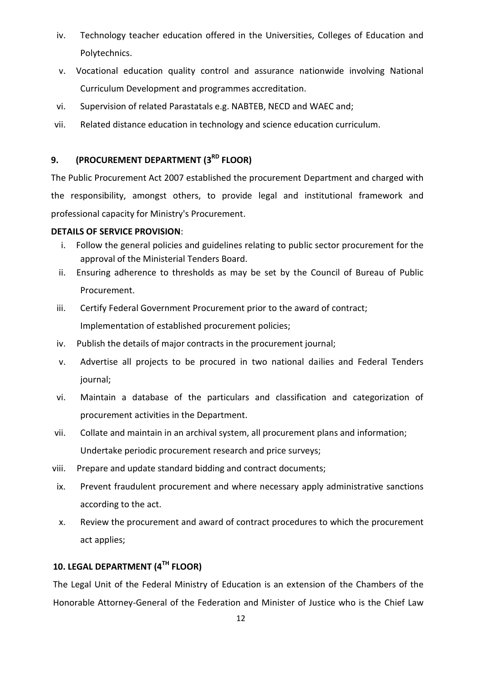- iv. Technology teacher education offered in the Universities, Colleges of Education and Polytechnics.
- v. Vocational education quality control and assurance nationwide involving National Curriculum Development and programmes accreditation.
- vi. Supervision of related Parastatals e.g. NABTEB, NECD and WAEC and;
- vii. Related distance education in technology and science education curriculum.

# **9. (PROCUREMENT DEPARTMENT (3RD FLOOR)**

The Public Procurement Act 2007 established the procurement Department and charged with the responsibility, amongst others, to provide legal and institutional framework and professional capacity for Ministry's Procurement.

#### **DETAILS OF SERVICE PROVISION**:

- i. Follow the general policies and guidelines relating to public sector procurement for the approval of the Ministerial Tenders Board.
- ii. Ensuring adherence to thresholds as may be set by the Council of Bureau of Public Procurement.
- iii. Certify Federal Government Procurement prior to the award of contract; Implementation of established procurement policies;
- iv. Publish the details of major contracts in the procurement journal;
- v. Advertise all projects to be procured in two national dailies and Federal Tenders journal;
- vi. Maintain a database of the particulars and classification and categorization of procurement activities in the Department.
- vii. Collate and maintain in an archival system, all procurement plans and information; Undertake periodic procurement research and price surveys;
- viii. Prepare and update standard bidding and contract documents;
- ix. Prevent fraudulent procurement and where necessary apply administrative sanctions according to the act.
- x. Review the procurement and award of contract procedures to which the procurement act applies;

### **10. LEGAL DEPARTMENT (4TH FLOOR)**

The Legal Unit of the Federal Ministry of Education is an extension of the Chambers of the Honorable Attorney-General of the Federation and Minister of Justice who is the Chief Law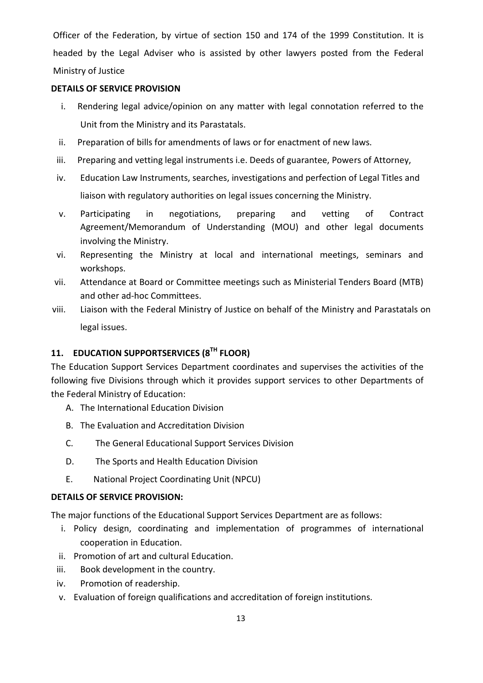Officer of the Federation, by virtue of section 150 and 174 of the 1999 Constitution. It is headed by the Legal Adviser who is assisted by other lawyers posted from the Federal Ministry of Justice

#### **DETAILS OF SERVICE PROVISION**

- i. Rendering legal advice/opinion on any matter with legal connotation referred to the Unit from the Ministry and its Parastatals.
- ii. Preparation of bills for amendments of laws or for enactment of new laws.
- iii. Preparing and vetting legal instruments i.e. Deeds of guarantee, Powers of Attorney,
- iv. Education Law Instruments, searches, investigations and perfection of Legal Titles and liaison with regulatory authorities on legal issues concerning the Ministry.
- v. Participating in negotiations, preparing and vetting of Contract Agreement/Memorandum of Understanding (MOU) and other legal documents involving the Ministry.
- vi. Representing the Ministry at local and international meetings, seminars and workshops.
- vii. Attendance at Board or Committee meetings such as Ministerial Tenders Board (MTB) and other ad-hoc Committees.
- viii. Liaison with the Federal Ministry of Justice on behalf of the Ministry and Parastatals on legal issues.

# **11. EDUCATION SUPPORTSERVICES (8TH FLOOR)**

The Education Support Services Department coordinates and supervises the activities of the following five Divisions through which it provides support services to other Departments of the Federal Ministry of Education:

- A. The International Education Division
- B. The Evaluation and Accreditation Division
- C. The General Educational Support Services Division
- D. The Sports and Health Education Division
- E. National Project Coordinating Unit (NPCU)

#### **DETAILS OF SERVICE PROVISION:**

The major functions of the Educational Support Services Department are as follows:

- i. Policy design, coordinating and implementation of programmes of international cooperation in Education.
- ii. Promotion of art and cultural Education.
- iii. Book development in the country.
- iv. Promotion of readership.
- v. Evaluation of foreign qualifications and accreditation of foreign institutions.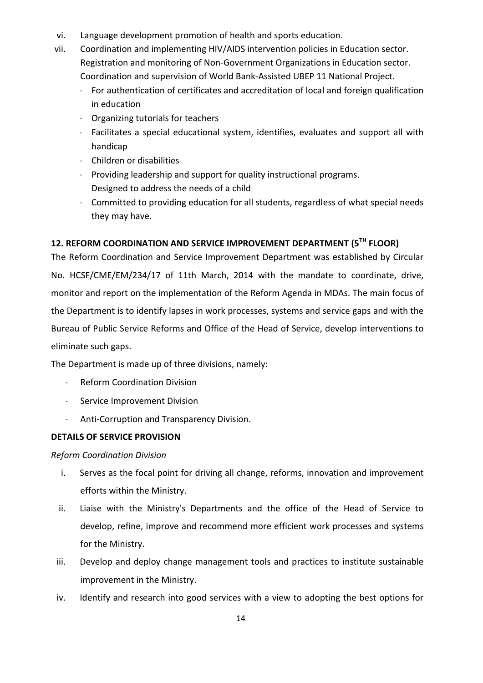- vi. Language development promotion of health and sports education.
- vii. Coordination and implementing HIV/AIDS intervention policies in Education sector. Registration and monitoring of Non-Government Organizations in Education sector. Coordination and supervision of World Bank-Assisted UBEP 11 National Project.
	- For authentication of certificates and accreditation of local and foreign qualification in education
	- $\cdot$  Organizing tutorials for teachers
	- Facilitates a special educational system, identifies, evaluates and support all with handicap
	- Children or disabilities
	- Providing leadership and support for quality instructional programs. Designed to address the needs of a child
	- Committed to providing education for all students, regardless of what special needs they may have.

# **12. REFORM COORDINATION AND SERVICE IMPROVEMENT DEPARTMENT (5TH FLOOR)**

The Reform Coordination and Service Improvement Department was established by Circular No. HCSF/CME/EM/234/17 of 11th March, 2014 with the mandate to coordinate, drive, monitor and report on the implementation of the Reform Agenda in MDAs. The main focus of the Department is to identify lapses in work processes, systems and service gaps and with the Bureau of Public Service Reforms and Office of the Head of Service, develop interventions to eliminate such gaps.

The Department is made up of three divisions, namely:

- Reform Coordination Division
- Service Improvement Division
- Anti-Corruption and Transparency Division.

#### **DETAILS OF SERVICE PROVISION**

*Reform Coordination Division*

- i. Serves as the focal point for driving all change, reforms, innovation and improvement efforts within the Ministry.
- ii. Liaise with the Ministry's Departments and the office of the Head of Service to develop, refine, improve and recommend more efficient work processes and systems for the Ministry.
- iii. Develop and deploy change management tools and practices to institute sustainable improvement in the Ministry.
- iv. Identify and research into good services with a view to adopting the best options for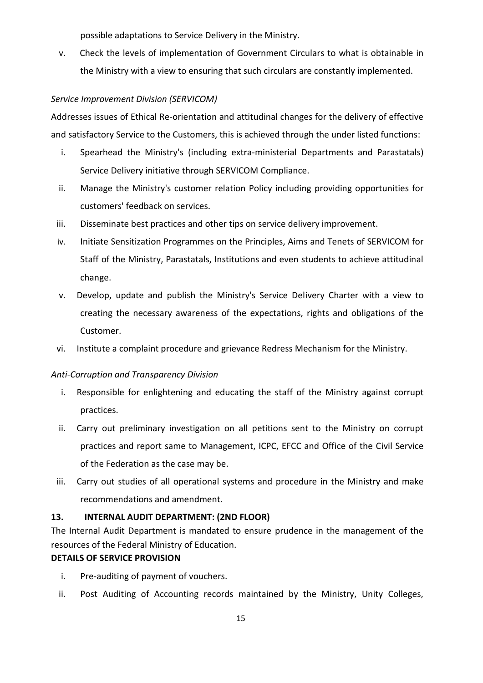possible adaptations to Service Delivery in the Ministry.

v. Check the levels of implementation of Government Circulars to what is obtainable in the Ministry with a view to ensuring that such circulars are constantly implemented.

#### *Service Improvement Division (SERVICOM)*

Addresses issues of Ethical Re-orientation and attitudinal changes for the delivery of effective and satisfactory Service to the Customers, this is achieved through the under listed functions:

- i. Spearhead the Ministry's (including extra-ministerial Departments and Parastatals) Service Delivery initiative through SERVICOM Compliance.
- ii. Manage the Ministry's customer relation Policy including providing opportunities for customers' feedback on services.
- iii. Disseminate best practices and other tips on service delivery improvement.
- iv. Initiate Sensitization Programmes on the Principles, Aims and Tenets of SERVICOM for Staff of the Ministry, Parastatals, Institutions and even students to achieve attitudinal change.
- v. Develop, update and publish the Ministry's Service Delivery Charter with a view to creating the necessary awareness of the expectations, rights and obligations of the Customer.
- vi. Institute a complaint procedure and grievance Redress Mechanism for the Ministry.

### *Anti-Corruption and Transparency Division*

- i. Responsible for enlightening and educating the staff of the Ministry against corrupt practices.
- ii. Carry out preliminary investigation on all petitions sent to the Ministry on corrupt practices and report same to Management, ICPC, EFCC and Office of the Civil Service of the Federation as the case may be.
- iii. Carry out studies of all operational systems and procedure in the Ministry and make recommendations and amendment.

#### **13. INTERNAL AUDIT DEPARTMENT: (2ND FLOOR)**

The Internal Audit Department is mandated to ensure prudence in the management of the resources of the Federal Ministry of Education.

- i. Pre-auditing of payment of vouchers.
- ii. Post Auditing of Accounting records maintained by the Ministry, Unity Colleges,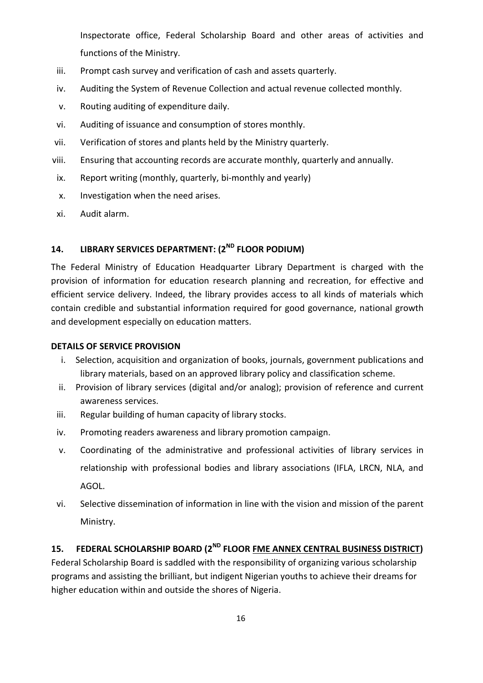Inspectorate office, Federal Scholarship Board and other areas of activities and functions of the Ministry.

- iii. Prompt cash survey and verification of cash and assets quarterly.
- iv. Auditing the System of Revenue Collection and actual revenue collected monthly.
- v. Routing auditing of expenditure daily.
- vi. Auditing of issuance and consumption of stores monthly.
- vii. Verification of stores and plants held by the Ministry quarterly.
- viii. Ensuring that accounting records are accurate monthly, quarterly and annually.
- ix. Report writing (monthly, quarterly, bi-monthly and yearly)
- x. Investigation when the need arises.
- xi. Audit alarm.

# **14. LIBRARY SERVICES DEPARTMENT: (2ND FLOOR PODIUM)**

The Federal Ministry of Education Headquarter Library Department is charged with the provision of information for education research planning and recreation, for effective and efficient service delivery. Indeed, the library provides access to all kinds of materials which contain credible and substantial information required for good governance, national growth and development especially on education matters.

### **DETAILS OF SERVICE PROVISION**

- i. Selection, acquisition and organization of books, journals, government publications and library materials, based on an approved library policy and classification scheme.
- ii. Provision of library services (digital and/or analog); provision of reference and current awareness services.
- iii. Regular building of human capacity of library stocks.
- iv. Promoting readers awareness and library promotion campaign.
- v. Coordinating of the administrative and professional activities of library services in relationship with professional bodies and library associations (IFLA, LRCN, NLA, and AGOL.
- vi. Selective dissemination of information in line with the vision and mission of the parent Ministry.

### 15. FEDERAL SCHOLARSHIP BOARD (2<sup>ND</sup> FLOOR <u>FME ANNEX CENTRAL BUSINESS DISTRICT</u>)

Federal Scholarship Board is saddled with the responsibility of organizing various scholarship programs and assisting the brilliant, but indigent Nigerian youths to achieve their dreams for higher education within and outside the shores of Nigeria.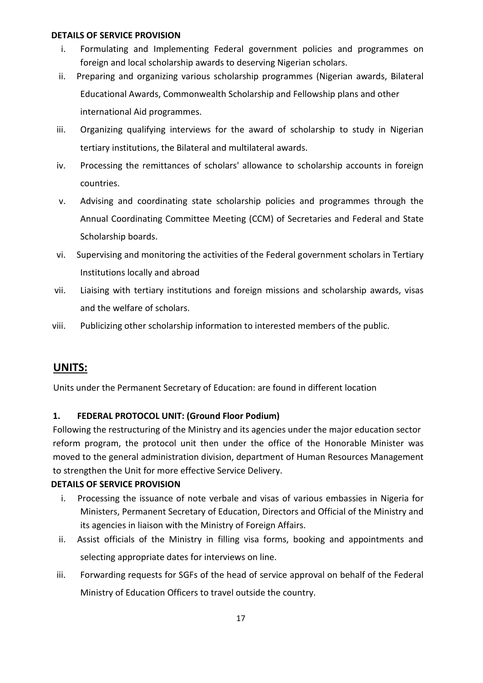#### **DETAILS OF SERVICE PROVISION**

- i. Formulating and Implementing Federal government policies and programmes on foreign and local scholarship awards to deserving Nigerian scholars.
- ii. Preparing and organizing various scholarship programmes (Nigerian awards, Bilateral Educational Awards, Commonwealth Scholarship and Fellowship plans and other international Aid programmes.
- iii. Organizing qualifying interviews for the award of scholarship to study in Nigerian tertiary institutions, the Bilateral and multilateral awards.
- iv. Processing the remittances of scholars' allowance to scholarship accounts in foreign countries.
- v. Advising and coordinating state scholarship policies and programmes through the Annual Coordinating Committee Meeting (CCM) of Secretaries and Federal and State Scholarship boards.
- vi. Supervising and monitoring the activities of the Federal government scholars in Tertiary Institutions locally and abroad
- vii. Liaising with tertiary institutions and foreign missions and scholarship awards, visas and the welfare of scholars.
- viii. Publicizing other scholarship information to interested members of the public.

## **UNITS:**

Units under the Permanent Secretary of Education: are found in different location

### **1. FEDERAL PROTOCOL UNIT: (Ground Floor Podium)**

Following the restructuring of the Ministry and its agencies under the major education sector reform program, the protocol unit then under the office of the Honorable Minister was moved to the general administration division, department of Human Resources Management to strengthen the Unit for more effective Service Delivery.

- i. Processing the issuance of note verbale and visas of various embassies in Nigeria for Ministers, Permanent Secretary of Education, Directors and Official of the Ministry and its agencies in liaison with the Ministry of Foreign Affairs.
- ii. Assist officials of the Ministry in filling visa forms, booking and appointments and selecting appropriate dates for interviews on line.
- iii. Forwarding requests for SGFs of the head of service approval on behalf of the Federal Ministry of Education Officers to travel outside the country.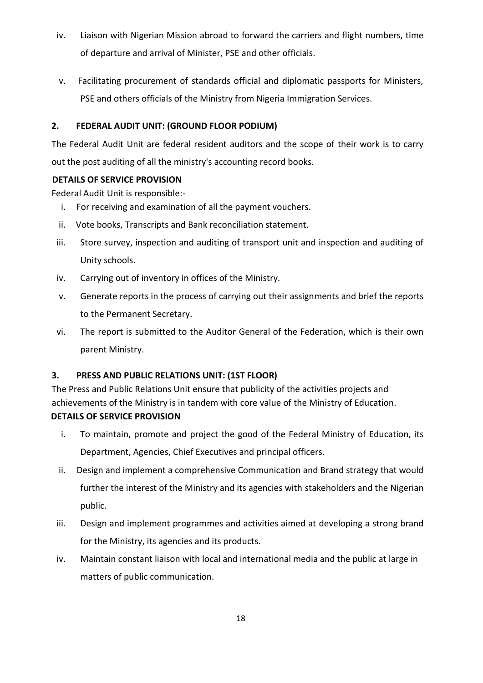- iv. Liaison with Nigerian Mission abroad to forward the carriers and flight numbers, time of departure and arrival of Minister, PSE and other officials.
- v. Facilitating procurement of standards official and diplomatic passports for Ministers, PSE and others officials of the Ministry from Nigeria Immigration Services.

### **2. FEDERAL AUDIT UNIT: (GROUND FLOOR PODIUM)**

The Federal Audit Unit are federal resident auditors and the scope of their work is to carry out the post auditing of all the ministry's accounting record books.

### **DETAILS OF SERVICE PROVISION**

Federal Audit Unit is responsible:-

- i. For receiving and examination of all the payment vouchers.
- ii. Vote books, Transcripts and Bank reconciliation statement.
- iii. Store survey, inspection and auditing of transport unit and inspection and auditing of Unity schools.
- iv. Carrying out of inventory in offices of the Ministry.
- v. Generate reports in the process of carrying out their assignments and brief the reports to the Permanent Secretary.
- vi. The report is submitted to the Auditor General of the Federation, which is their own parent Ministry.

### **3. PRESS AND PUBLIC RELATIONS UNIT: (1ST FLOOR)**

The Press and Public Relations Unit ensure that publicity of the activities projects and achievements of the Ministry is in tandem with core value of the Ministry of Education. **DETAILS OF SERVICE PROVISION** 

- i. To maintain, promote and project the good of the Federal Ministry of Education, its Department, Agencies, Chief Executives and principal officers.
- ii. Design and implement a comprehensive Communication and Brand strategy that would further the interest of the Ministry and its agencies with stakeholders and the Nigerian public.
- iii. Design and implement programmes and activities aimed at developing a strong brand for the Ministry, its agencies and its products.
- iv. Maintain constant liaison with local and international media and the public at large in matters of public communication.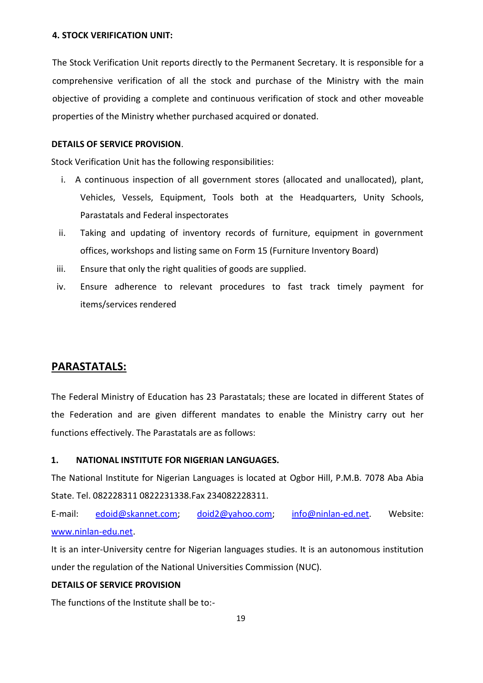#### **4. STOCK VERIFICATION UNIT:**

The Stock Verification Unit reports directly to the Permanent Secretary. It is responsible for a comprehensive verification of all the stock and purchase of the Ministry with the main objective of providing a complete and continuous verification of stock and other moveable properties of the Ministry whether purchased acquired or donated.

#### **DETAILS OF SERVICE PROVISION**.

Stock Verification Unit has the following responsibilities:

- i. A continuous inspection of all government stores (allocated and unallocated), plant, Vehicles, Vessels, Equipment, Tools both at the Headquarters, Unity Schools, Parastatals and Federal inspectorates
- ii. Taking and updating of inventory records of furniture, equipment in government offices, workshops and listing same on Form 15 (Furniture Inventory Board)
- iii. Ensure that only the right qualities of goods are supplied.
- iv. Ensure adherence to relevant procedures to fast track timely payment for items/services rendered

### **PARASTATALS:**

The Federal Ministry of Education has 23 Parastatals; these are located in different States of the Federation and are given different mandates to enable the Ministry carry out her functions effectively. The Parastatals are as follows:

#### **1. NATIONAL INSTITUTE FOR NIGERIAN LANGUAGES.**

The National Institute for Nigerian Languages is located at Ogbor Hill, P.M.B. 7078 Aba Abia State. Tel. 082228311 0822231338.Fax 234082228311.

E-mail: [edoid@skannet.com;](mailto:edoid@skannet.com) [doid2@yahoo.com;](mailto:doid2@yahoo.com) [info@ninlan-ed.net.](mailto:info@ninlan-ed.net) Website: [www.ninlan-edu.net.](http://www.ninlan-edu.net/)

It is an inter-University centre for Nigerian languages studies. It is an autonomous institution under the regulation of the National Universities Commission (NUC).

#### **DETAILS OF SERVICE PROVISION**

The functions of the Institute shall be to:-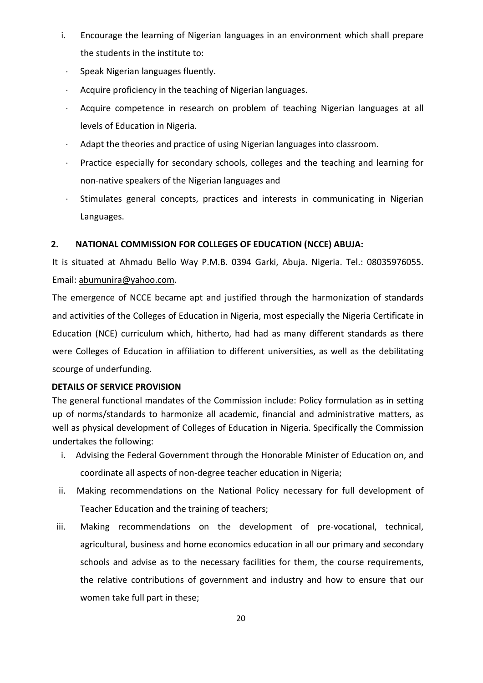- i. Encourage the learning of Nigerian languages in an environment which shall prepare the students in the institute to:
- Speak Nigerian languages fluently.
- Acquire proficiency in the teaching of Nigerian languages.
- Acquire competence in research on problem of teaching Nigerian languages at all levels of Education in Nigeria.
- Adapt the theories and practice of using Nigerian languages into classroom.
- Practice especially for secondary schools, colleges and the teaching and learning for non-native speakers of the Nigerian languages and
- Stimulates general concepts, practices and interests in communicating in Nigerian Languages.

### **2. NATIONAL COMMISSION FOR COLLEGES OF EDUCATION (NCCE) ABUJA:**

It is situated at Ahmadu Bello Way P.M.B. 0394 Garki, Abuja. Nigeria. Tel.: 08035976055. Email: [abumunira@yahoo.com.](mailto:abumunira@yahoo.com.)

The emergence of NCCE became apt and justified through the harmonization of standards and activities of the Colleges of Education in Nigeria, most especially the Nigeria Certificate in Education (NCE) curriculum which, hitherto, had had as many different standards as there were Colleges of Education in affiliation to different universities, as well as the debilitating scourge of underfunding.

### **DETAILS OF SERVICE PROVISION**

The general functional mandates of the Commission include: Policy formulation as in setting up of norms/standards to harmonize all academic, financial and administrative matters, as well as physical development of Colleges of Education in Nigeria. Specifically the Commission undertakes the following:

- i. Advising the Federal Government through the Honorable Minister of Education on, and coordinate all aspects of non-degree teacher education in Nigeria;
- ii. Making recommendations on the National Policy necessary for full development of Teacher Education and the training of teachers;
- iii. Making recommendations on the development of pre-vocational, technical, agricultural, business and home economics education in all our primary and secondary schools and advise as to the necessary facilities for them, the course requirements, the relative contributions of government and industry and how to ensure that our women take full part in these;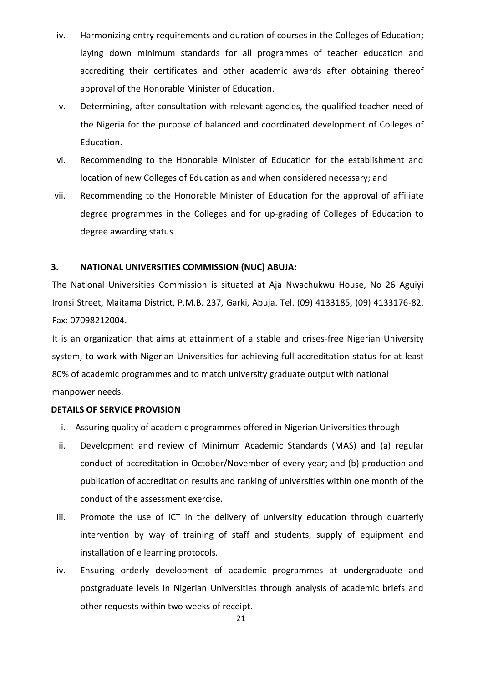- iv. Harmonizing entry requirements and duration of courses in the Colleges of Education; laying down minimum standards for all programmes of teacher education and accrediting their certificates and other academic awards after obtaining thereof approval of the Honorable Minister of Education.
- v. Determining, after consultation with relevant agencies, the qualified teacher need of the Nigeria for the purpose of balanced and coordinated development of Colleges of Education.
- vi. Recommending to the Honorable Minister of Education for the establishment and location of new Colleges of Education as and when considered necessary; and
- vii. Recommending to the Honorable Minister of Education for the approval of affiliate degree programmes in the Colleges and for up-grading of Colleges of Education to degree awarding status.

#### **3. NATIONAL UNIVERSITIES COMMISSION (NUC) ABUJA:**

The National Universities Commission is situated at Aja Nwachukwu House, No 26 Aguiyi Ironsi Street, Maitama District, P.M.B. 237, Garki, Abuja. Tel. (09) 4133185, (09) 4133176-82. Fax: 07098212004.

It is an organization that aims at attainment of a stable and crises-free Nigerian University system, to work with Nigerian Universities for achieving full accreditation status for at least 80% of academic programmes and to match university graduate output with national manpower needs.

- i. Assuring quality of academic programmes offered in Nigerian Universities through
- ii. Development and review of Minimum Academic Standards (MAS) and (a) regular conduct of accreditation in October/November of every year; and (b) production and publication of accreditation results and ranking of universities within one month of the conduct of the assessment exercise.
- iii. Promote the use of ICT in the delivery of university education through quarterly intervention by way of training of staff and students, supply of equipment and installation of e learning protocols.
- iv. Ensuring orderly development of academic programmes at undergraduate and postgraduate levels in Nigerian Universities through analysis of academic briefs and other requests within two weeks of receipt.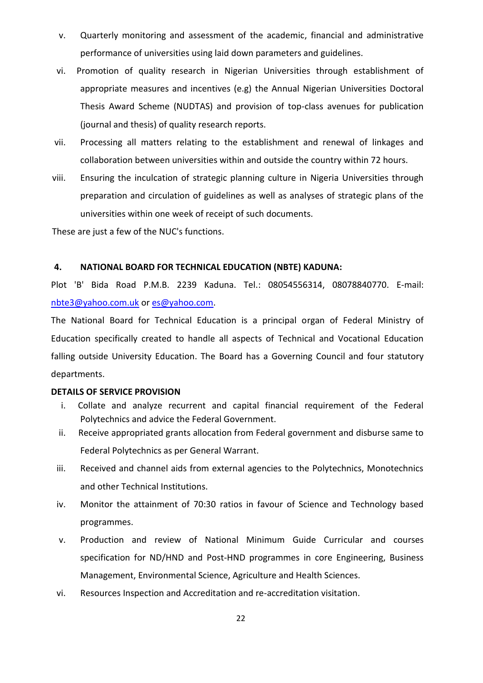- v. Quarterly monitoring and assessment of the academic, financial and administrative performance of universities using laid down parameters and guidelines.
- vi. Promotion of quality research in Nigerian Universities through establishment of appropriate measures and incentives (e.g) the Annual Nigerian Universities Doctoral Thesis Award Scheme (NUDTAS) and provision of top-class avenues for publication (journal and thesis) of quality research reports.
- vii. Processing all matters relating to the establishment and renewal of linkages and collaboration between universities within and outside the country within 72 hours.
- viii. Ensuring the inculcation of strategic planning culture in Nigeria Universities through preparation and circulation of guidelines as well as analyses of strategic plans of the universities within one week of receipt of such documents.

These are just a few of the NUC's functions.

#### **4. NATIONAL BOARD FOR TECHNICAL EDUCATION (NBTE) KADUNA:**

Plot 'B' Bida Road P.M.B. 2239 Kaduna. Tel.: 08054556314, 08078840770. E-mail: [nbte3@yahoo.com.uk](mailto:nbte3@yahoo.com.uk) or [es@yahoo.com.](mailto:es@yahoo.com)

The National Board for Technical Education is a principal organ of Federal Ministry of Education specifically created to handle all aspects of Technical and Vocational Education falling outside University Education. The Board has a Governing Council and four statutory departments.

- i. Collate and analyze recurrent and capital financial requirement of the Federal Polytechnics and advice the Federal Government.
- ii. Receive appropriated grants allocation from Federal government and disburse same to Federal Polytechnics as per General Warrant.
- iii. Received and channel aids from external agencies to the Polytechnics, Monotechnics and other Technical Institutions.
- iv. Monitor the attainment of 70:30 ratios in favour of Science and Technology based programmes.
- v. Production and review of National Minimum Guide Curricular and courses specification for ND/HND and Post-HND programmes in core Engineering, Business Management, Environmental Science, Agriculture and Health Sciences.
- vi. Resources Inspection and Accreditation and re-accreditation visitation.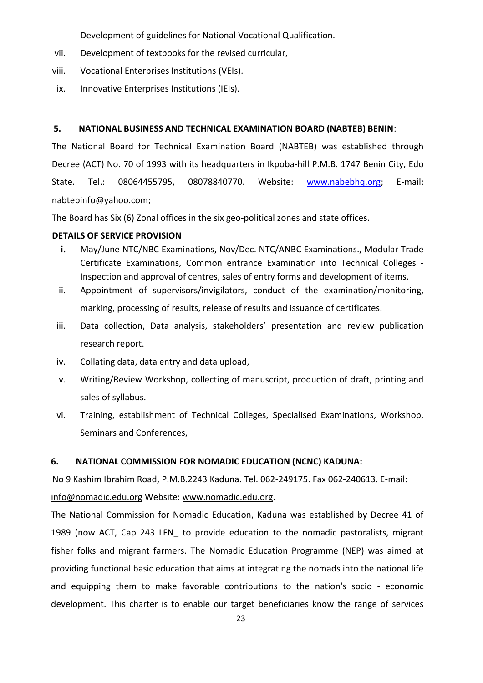Development of guidelines for National Vocational Qualification.

- vii. Development of textbooks for the revised curricular,
- viii. Vocational Enterprises Institutions (VEIs).
- ix. Innovative Enterprises Institutions (IEIs).

#### **5. NATIONAL BUSINESS AND TECHNICAL EXAMINATION BOARD (NABTEB) BENIN**:

The National Board for Technical Examination Board (NABTEB) was established through Decree (ACT) No. 70 of 1993 with its headquarters in Ikpoba-hill P.M.B. 1747 Benin City, Edo State. Tel.: 08064455795, 08078840770. Website: [www.nabebhq.org;](http://www.nabebhq.org/) E-mail: [nabtebinfo@yahoo.com;](mailto:nabtebinfo@yahoo.com)

The Board has Six (6) Zonal offices in the six geo-political zones and state offices.

### **DETAILS OF SERVICE PROVISION**

- **i.** May/June NTC/NBC Examinations, Nov/Dec. NTC/ANBC Examinations., Modular Trade Certificate Examinations, Common entrance Examination into Technical Colleges - Inspection and approval of centres, sales of entry forms and development of items.
- ii. Appointment of supervisors/invigilators, conduct of the examination/monitoring, marking, processing of results, release of results and issuance of certificates.
- iii. Data collection, Data analysis, stakeholders' presentation and review publication research report.
- iv. Collating data, data entry and data upload,
- v. Writing/Review Workshop, collecting of manuscript, production of draft, printing and sales of syllabus.
- vi. Training, establishment of Technical Colleges, Specialised Examinations, Workshop, Seminars and Conferences,

### **6. NATIONAL COMMISSION FOR NOMADIC EDUCATION (NCNC) KADUNA:**

No 9 Kashim Ibrahim Road, P.M.B.2243 Kaduna. Tel. 062-249175. Fax 062-240613. E-mail:

[info@nomadic.edu.org](mailto:info@nomadic.edu.org) Website[: www.nomadic.edu.org.](http://www.nomadic.edu.org/)

The National Commission for Nomadic Education, Kaduna was established by Decree 41 of 1989 (now ACT, Cap 243 LFN\_ to provide education to the nomadic pastoralists, migrant fisher folks and migrant farmers. The Nomadic Education Programme (NEP) was aimed at providing functional basic education that aims at integrating the nomads into the national life and equipping them to make favorable contributions to the nation's socio - economic development. This charter is to enable our target beneficiaries know the range of services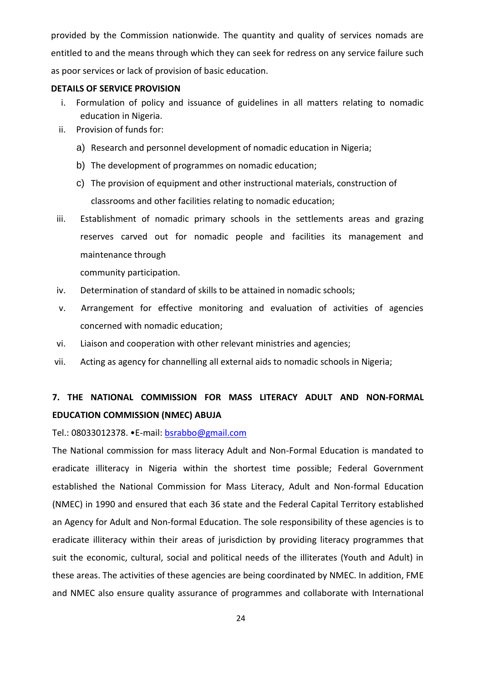provided by the Commission nationwide. The quantity and quality of services nomads are entitled to and the means through which they can seek for redress on any service failure such as poor services or lack of provision of basic education.

#### **DETAILS OF SERVICE PROVISION**

- i. Formulation of policy and issuance of guidelines in all matters relating to nomadic education in Nigeria.
- ii. Provision of funds for:
	- a) Research and personnel development of nomadic education in Nigeria;
	- b) The development of programmes on nomadic education;
	- c) The provision of equipment and other instructional materials, construction of classrooms and other facilities relating to nomadic education;
- iii. Establishment of nomadic primary schools in the settlements areas and grazing reserves carved out for nomadic people and facilities its management and maintenance through

community participation.

- iv. Determination of standard of skills to be attained in nomadic schools;
- v. Arrangement for effective monitoring and evaluation of activities of agencies concerned with nomadic education;
- vi. Liaison and cooperation with other relevant ministries and agencies;
- vii. Acting as agency for channelling all external aids to nomadic schools in Nigeria;

# **7. THE NATIONAL COMMISSION FOR MASS LITERACY ADULT AND NON-FORMAL EDUCATION COMMISSION (NMEC) ABUJA**

Tel.: 08033012378. •E-mail: [bsrabbo@gmail.com](mailto:bsrabbo@gmail.com) 

The National commission for mass literacy Adult and Non-Formal Education is mandated to eradicate illiteracy in Nigeria within the shortest time possible; Federal Government established the National Commission for Mass Literacy, Adult and Non-formal Education (NMEC) in 1990 and ensured that each 36 state and the Federal Capital Territory established an Agency for Adult and Non-formal Education. The sole responsibility of these agencies is to eradicate illiteracy within their areas of jurisdiction by providing literacy programmes that suit the economic, cultural, social and political needs of the illiterates (Youth and Adult) in these areas. The activities of these agencies are being coordinated by NMEC. In addition, FME and NMEC also ensure quality assurance of programmes and collaborate with International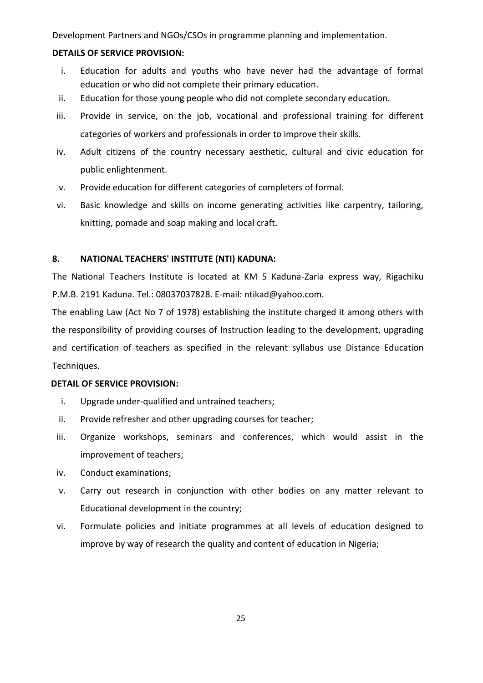Development Partners and NGOs/CSOs in programme planning and implementation.

#### **DETAILS OF SERVICE PROVISION:**

- i. Education for adults and youths who have never had the advantage of formal education or who did not complete their primary education.
- ii. Education for those young people who did not complete secondary education.
- iii. Provide in service, on the job, vocational and professional training for different categories of workers and professionals in order to improve their skills.
- iv. Adult citizens of the country necessary aesthetic, cultural and civic education for public enlightenment.
- v. Provide education for different categories of completers of formal.
- vi. Basic knowledge and skills on income generating activities like carpentry, tailoring, knitting, pomade and soap making and local craft.

#### **8. NATIONAL TEACHERS' INSTITUTE (NTI) KADUNA:**

The National Teachers Institute is located at KM 5 Kaduna-Zaria express way, Rigachiku P.M.B. 2191 Kaduna. Tel.: 08037037828. E-mail: ntikad@yahoo.com.

The enabling Law (Act No 7 of 1978) establishing the institute charged it among others with the responsibility of providing courses of Instruction leading to the development, upgrading and certification of teachers as specified in the relevant syllabus use Distance Education Techniques.

- i. Upgrade under-qualified and untrained teachers;
- ii. Provide refresher and other upgrading courses for teacher;
- iii. Organize workshops, seminars and conferences, which would assist in the improvement of teachers;
- iv. Conduct examinations;
- v. Carry out research in conjunction with other bodies on any matter relevant to Educational development in the country;
- vi. Formulate policies and initiate programmes at all levels of education designed to improve by way of research the quality and content of education in Nigeria;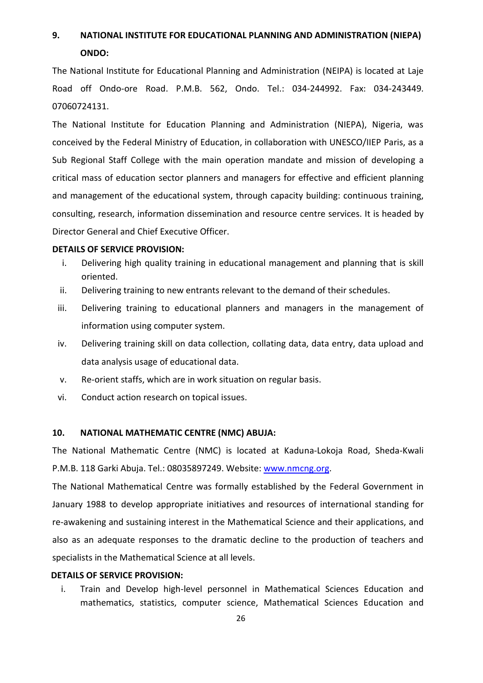# **9. NATIONAL INSTITUTE FOR EDUCATIONAL PLANNING AND ADMINISTRATION (NIEPA) ONDO:**

The National Institute for Educational Planning and Administration (NEIPA) is located at Laje Road off Ondo-ore Road. P.M.B. 562, Ondo. Tel.: 034-244992. Fax: 034-243449. 07060724131.

The National Institute for Education Planning and Administration (NIEPA), Nigeria, was conceived by the Federal Ministry of Education, in collaboration with UNESCO/IIEP Paris, as a Sub Regional Staff College with the main operation mandate and mission of developing a critical mass of education sector planners and managers for effective and efficient planning and management of the educational system, through capacity building: continuous training, consulting, research, information dissemination and resource centre services. It is headed by Director General and Chief Executive Officer.

#### **DETAILS OF SERVICE PROVISION:**

- i. Delivering high quality training in educational management and planning that is skill oriented.
- ii. Delivering training to new entrants relevant to the demand of their schedules.
- iii. Delivering training to educational planners and managers in the management of information using computer system.
- iv. Delivering training skill on data collection, collating data, data entry, data upload and data analysis usage of educational data.
- v. Re-orient staffs, which are in work situation on regular basis.
- vi. Conduct action research on topical issues.

#### **10. NATIONAL MATHEMATIC CENTRE (NMC) ABUJA:**

The National Mathematic Centre (NMC) is located at Kaduna-Lokoja Road, Sheda-Kwali P.M.B. 118 Garki Abuja. Tel.: 08035897249. Website: [www.nmcng.org.](http://www.nmcng.org/)

The National Mathematical Centre was formally established by the Federal Government in January 1988 to develop appropriate initiatives and resources of international standing for re-awakening and sustaining interest in the Mathematical Science and their applications, and also as an adequate responses to the dramatic decline to the production of teachers and specialists in the Mathematical Science at all levels.

#### **DETAILS OF SERVICE PROVISION:**

i. Train and Develop high-level personnel in Mathematical Sciences Education and mathematics, statistics, computer science, Mathematical Sciences Education and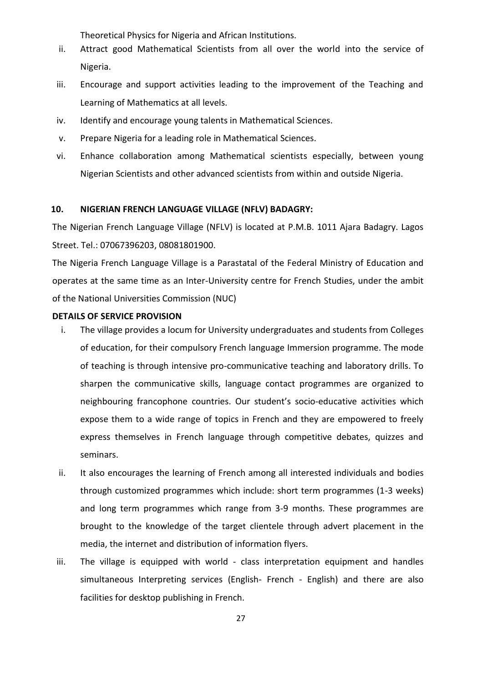Theoretical Physics for Nigeria and African Institutions.

- ii. Attract good Mathematical Scientists from all over the world into the service of Nigeria.
- iii. Encourage and support activities leading to the improvement of the Teaching and Learning of Mathematics at all levels.
- iv. Identify and encourage young talents in Mathematical Sciences.
- v. Prepare Nigeria for a leading role in Mathematical Sciences.
- vi. Enhance collaboration among Mathematical scientists especially, between young Nigerian Scientists and other advanced scientists from within and outside Nigeria.

#### **10. NIGERIAN FRENCH LANGUAGE VILLAGE (NFLV) BADAGRY:**

The Nigerian French Language Village (NFLV) is located at P.M.B. 1011 Ajara Badagry. Lagos Street. Tel.: 07067396203, 08081801900.

The Nigeria French Language Village is a Parastatal of the Federal Ministry of Education and operates at the same time as an Inter-University centre for French Studies, under the ambit of the National Universities Commission (NUC)

- i. The village provides a locum for University undergraduates and students from Colleges of education, for their compulsory French language Immersion programme. The mode of teaching is through intensive pro-communicative teaching and laboratory drills. To sharpen the communicative skills, language contact programmes are organized to neighbouring francophone countries. Our student's socio-educative activities which expose them to a wide range of topics in French and they are empowered to freely express themselves in French language through competitive debates, quizzes and seminars.
- ii. It also encourages the learning of French among all interested individuals and bodies through customized programmes which include: short term programmes (1-3 weeks) and long term programmes which range from 3-9 months. These programmes are brought to the knowledge of the target clientele through advert placement in the media, the internet and distribution of information flyers.
- iii. The village is equipped with world class interpretation equipment and handles simultaneous Interpreting services (English- French - English) and there are also facilities for desktop publishing in French.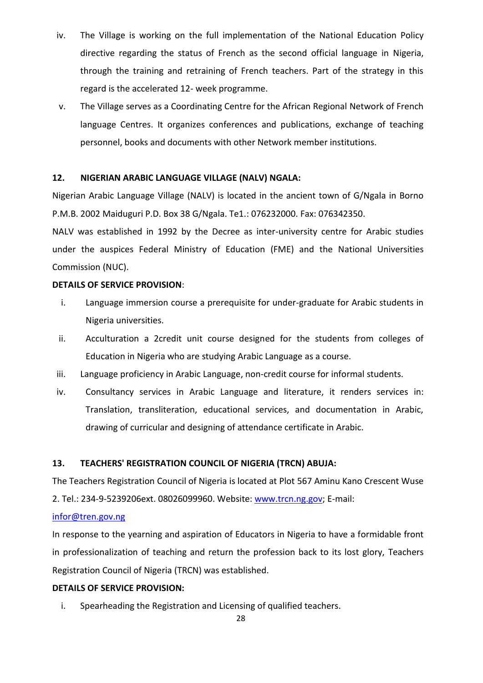- iv. The Village is working on the full implementation of the National Education Policy directive regarding the status of French as the second official language in Nigeria, through the training and retraining of French teachers. Part of the strategy in this regard is the accelerated 12- week programme.
- v. The Village serves as a Coordinating Centre for the African Regional Network of French language Centres. It organizes conferences and publications, exchange of teaching personnel, books and documents with other Network member institutions.

### **12. NIGERIAN ARABIC LANGUAGE VILLAGE (NALV) NGALA:**

Nigerian Arabic Language Village (NALV) is located in the ancient town of G/Ngala in Borno P.M.B. 2002 Maiduguri P.D. Box 38 G/Ngala. Te1.: 076232000. Fax: 076342350.

NALV was established in 1992 by the Decree as inter-university centre for Arabic studies under the auspices Federal Ministry of Education (FME) and the National Universities Commission (NUC).

#### **DETAILS OF SERVICE PROVISION**:

- i. Language immersion course a prerequisite for under-graduate for Arabic students in Nigeria universities.
- ii. Acculturation a 2credit unit course designed for the students from colleges of Education in Nigeria who are studying Arabic Language as a course.
- iii. Language proficiency in Arabic Language, non-credit course for informal students.
- iv. Consultancy services in Arabic Language and literature, it renders services in: Translation, transliteration, educational services, and documentation in Arabic, drawing of curricular and designing of attendance certificate in Arabic.

#### **13. TEACHERS' REGISTRATION COUNCIL OF NIGERIA (TRCN) ABUJA:**

The Teachers Registration Council of Nigeria is located at Plot 567 Aminu Kano Crescent Wuse 2. Tel.: 234-9-5239206ext. 08026099960. Website: [www.trcn.ng.gov;](http://www.trcn.ng.gov/) E-mail:

#### [infor@tren.gov.ng](mailto:infor@tren.gov.ng)

In response to the yearning and aspiration of Educators in Nigeria to have a formidable front in professionalization of teaching and return the profession back to its lost glory, Teachers Registration Council of Nigeria (TRCN) was established.

#### **DETAILS OF SERVICE PROVISION:**

i. Spearheading the Registration and Licensing of qualified teachers.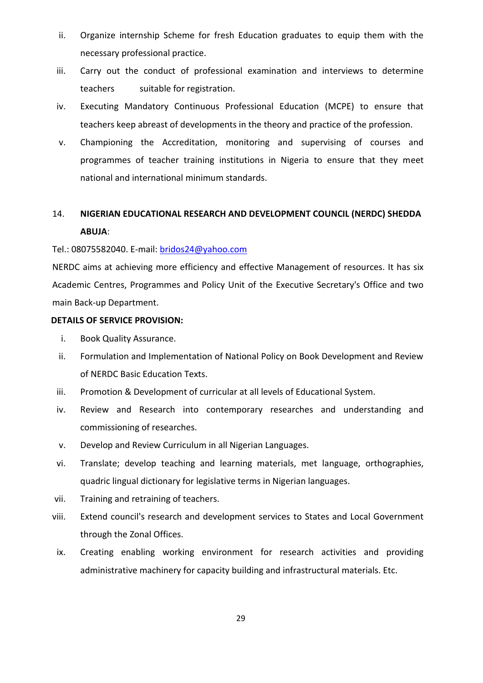- ii. Organize internship Scheme for fresh Education graduates to equip them with the necessary professional practice.
- iii. Carry out the conduct of professional examination and interviews to determine teachers suitable for registration.
- iv. Executing Mandatory Continuous Professional Education (MCPE) to ensure that teachers keep abreast of developments in the theory and practice of the profession.
- v. Championing the Accreditation, monitoring and supervising of courses and programmes of teacher training institutions in Nigeria to ensure that they meet national and international minimum standards.

# 14. **NIGERIAN EDUCATIONAL RESEARCH AND DEVELOPMENT COUNCIL (NERDC) SHEDDA ABUJA**:

#### Tel.: 08075582040. E-mail: [bridos24@yahoo.com](mailto:bridos24@yahoo.com)

NERDC aims at achieving more efficiency and effective Management of resources. It has six Academic Centres, Programmes and Policy Unit of the Executive Secretary's Office and two main Back-up Department.

- i. Book Quality Assurance.
- ii. Formulation and Implementation of National Policy on Book Development and Review of NERDC Basic Education Texts.
- iii. Promotion & Development of curricular at all levels of Educational System.
- iv. Review and Research into contemporary researches and understanding and commissioning of researches.
- v. Develop and Review Curriculum in all Nigerian Languages.
- vi. Translate; develop teaching and learning materials, met language, orthographies, quadric lingual dictionary for legislative terms in Nigerian languages.
- vii. Training and retraining of teachers.
- viii. Extend council's research and development services to States and Local Government through the Zonal Offices.
- ix. Creating enabling working environment for research activities and providing administrative machinery for capacity building and infrastructural materials. Etc.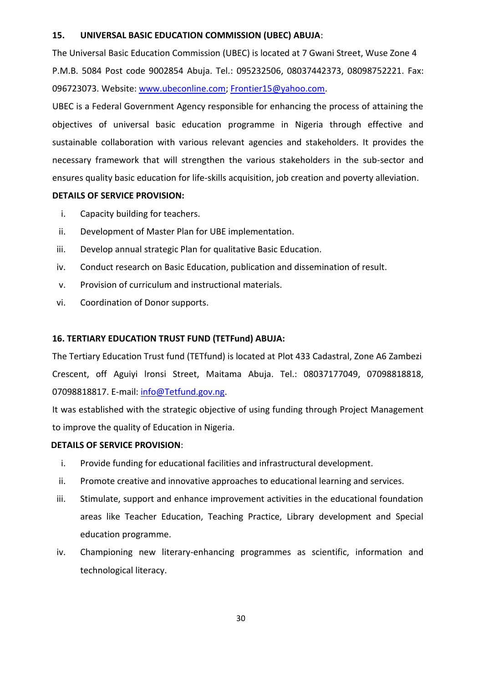#### **15. UNIVERSAL BASIC EDUCATION COMMISSION (UBEC) ABUJA**:

The Universal Basic Education Commission (UBEC) is located at 7 Gwani Street, Wuse Zone 4 P.M.B. 5084 Post code 9002854 Abuja. Tel.: 095232506, 08037442373, 08098752221. Fax: 096723073. Website: [www.ubeconline.com;](http://www.ubeconline.com/) [Frontier15@yahoo.com.](mailto:Frontier15@yahoo.com)

UBEC is a Federal Government Agency responsible for enhancing the process of attaining the objectives of universal basic education programme in Nigeria through effective and sustainable collaboration with various relevant agencies and stakeholders. It provides the necessary framework that will strengthen the various stakeholders in the sub-sector and ensures quality basic education for life-skills acquisition, job creation and poverty alleviation.

#### **DETAILS OF SERVICE PROVISION:**

- i. Capacity building for teachers.
- ii. Development of Master Plan for UBE implementation.
- iii. Develop annual strategic Plan for qualitative Basic Education.
- iv. Conduct research on Basic Education, publication and dissemination of result.
- v. Provision of curriculum and instructional materials.
- vi. Coordination of Donor supports.

#### **16. TERTIARY EDUCATION TRUST FUND (TETFund) ABUJA:**

The Tertiary Education Trust fund (TETfund) is located at Plot 433 Cadastral, Zone A6 Zambezi Crescent, off Aguiyi lronsi Street, Maitama Abuja. Tel.: 08037177049, 07098818818, 07098818817. E-mail: [info@Tetfund.gov.ng.](mailto:info@Tetfund.gov.ng)

It was established with the strategic objective of using funding through Project Management to improve the quality of Education in Nigeria.

- i. Provide funding for educational facilities and infrastructural development.
- ii. Promote creative and innovative approaches to educational learning and services.
- iii. Stimulate, support and enhance improvement activities in the educational foundation areas like Teacher Education, Teaching Practice, Library development and Special education programme.
- iv. Championing new literary-enhancing programmes as scientific, information and technological literacy.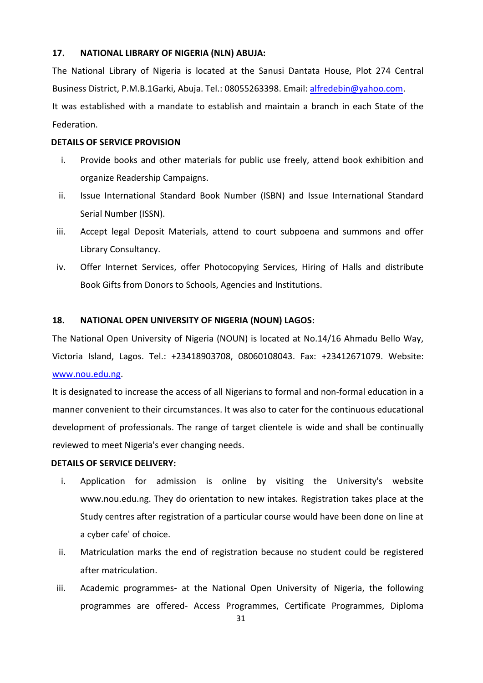#### **17. NATIONAL LIBRARY OF NIGERIA (NLN) ABUJA:**

The National Library of Nigeria is located at the Sanusi Dantata House, Plot 274 Central Business District, P.M.B.1Garki, Abuja. Tel.: 08055263398. Email: [alfredebin@yahoo.com.](mailto:alfredebin@yahoo.com) It was established with a mandate to establish and maintain a branch in each State of the Federation.

#### **DETAILS OF SERVICE PROVISION**

- i. Provide books and other materials for public use freely, attend book exhibition and organize Readership Campaigns.
- ii. Issue International Standard Book Number (ISBN) and Issue International Standard Serial Number (ISSN).
- iii. Accept legal Deposit Materials, attend to court subpoena and summons and offer Library Consultancy.
- iv. Offer Internet Services, offer Photocopying Services, Hiring of Halls and distribute Book Gifts from Donors to Schools, Agencies and Institutions.

#### **18. NATIONAL OPEN UNIVERSITY OF NIGERIA (NOUN) LAGOS:**

The National Open University of Nigeria (NOUN) is located at No.14/16 Ahmadu Bello Way, Victoria Island, Lagos. Tel.: +23418903708, 08060108043. Fax: +23412671079. Website: [www.nou.edu.ng.](http://www.nou.edu.ng/)

It is designated to increase the access of all Nigerians to formal and non-formal education in a manner convenient to their circumstances. It was also to cater for the continuous educational development of professionals. The range of target clientele is wide and shall be continually reviewed to meet Nigeria's ever changing needs.

#### **DETAILS OF SERVICE DELIVERY:**

- i. Application for admission is online by visiting the University's website www.nou.edu.ng. They do orientation to new intakes. Registration takes place at the Study centres after registration of a particular course would have been done on line at a cyber cafe' of choice.
- ii. Matriculation marks the end of registration because no student could be registered after matriculation.
- iii. Academic programmes- at the National Open University of Nigeria, the following programmes are offered- Access Programmes, Certificate Programmes, Diploma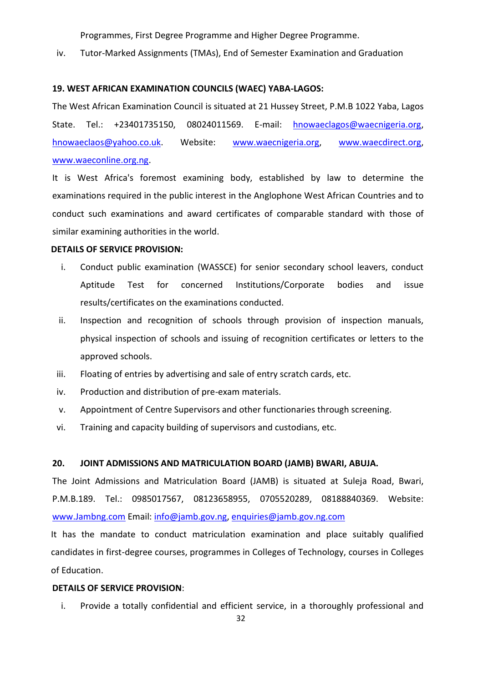Programmes, First Degree Programme and Higher Degree Programme.

iv. Tutor-Marked Assignments (TMAs), End of Semester Examination and Graduation

#### **19. WEST AFRICAN EXAMINATION COUNCILS (WAEC) YABA-LAGOS:**

The West African Examination Council is situated at 21 Hussey Street, P.M.B 1022 Yaba, Lagos State. Tel.: +23401735150, 08024011569. E-mail: [hnowaeclagos@waecnigeria.org,](mailto:hnowaeclagos@waecnigeria.org) [hnowaeclaos@yahoo.co.uk.](mailto:hnowaeclaos@yahoo.co.uk) Website: [www.waecnigeria.org,](http://www.waecnigeria.org/) [www.waecdirect.org,](http://www.waecdirect.org/) [www.waeconline.org.ng.](http://www.waeconline.org.ng/)

It is West Africa's foremost examining body, established by law to determine the examinations required in the public interest in the Anglophone West African Countries and to conduct such examinations and award certificates of comparable standard with those of similar examining authorities in the world.

#### **DETAILS OF SERVICE PROVISION:**

- i. Conduct public examination (WASSCE) for senior secondary school leavers, conduct Aptitude Test for concerned Institutions/Corporate bodies and issue results/certificates on the examinations conducted.
- ii. Inspection and recognition of schools through provision of inspection manuals, physical inspection of schools and issuing of recognition certificates or letters to the approved schools.
- iii. Floating of entries by advertising and sale of entry scratch cards, etc.
- iv. Production and distribution of pre-exam materials.
- v. Appointment of Centre Supervisors and other functionaries through screening.
- vi. Training and capacity building of supervisors and custodians, etc.

#### **20. JOINT ADMISSIONS AND MATRICULATION BOARD (JAMB) BWARI, ABUJA.**

The Joint Admissions and Matriculation Board (JAMB) is situated at Suleja Road, Bwari, P.M.B.189. Tel.: 0985017567, 08123658955, 0705520289, 08188840369. Website: [www.Jambng.com](http://www.jambng.com/) Email: [info@jamb.gov.ng,](mailto:info@jamb.gov.ng) [enquiries@jamb.gov.ng.com](mailto:enquiries@jamb.gov.ng.com)

It has the mandate to conduct matriculation examination and place suitably qualified candidates in first-degree courses, programmes in Colleges of Technology, courses in Colleges of Education.

#### **DETAILS OF SERVICE PROVISION**:

i. Provide a totally confidential and efficient service, in a thoroughly professional and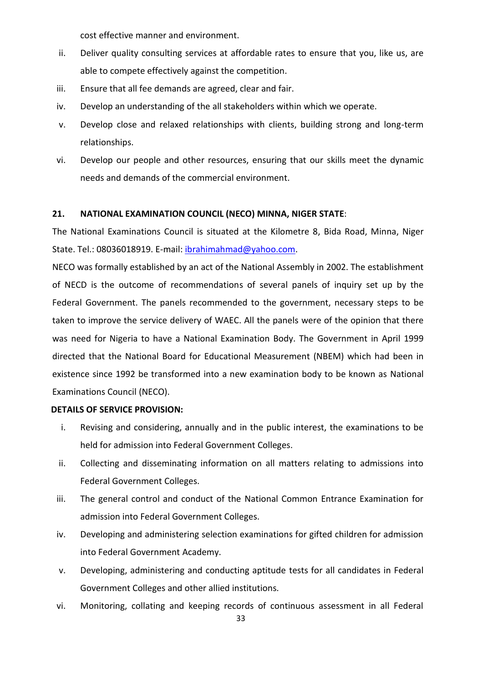cost effective manner and environment.

- ii. Deliver quality consulting services at affordable rates to ensure that you, like us, are able to compete effectively against the competition.
- iii. Ensure that all fee demands are agreed, clear and fair.
- iv. Develop an understanding of the all stakeholders within which we operate.
- v. Develop close and relaxed relationships with clients, building strong and long-term relationships.
- vi. Develop our people and other resources, ensuring that our skills meet the dynamic needs and demands of the commercial environment.

#### **21. NATIONAL EXAMINATION COUNCIL (NECO) MINNA, NIGER STATE**:

The National Examinations Council is situated at the Kilometre 8, Bida Road, Minna, Niger State. Tel.: 08036018919. E-mail: [ibrahimahmad@yahoo.com.](mailto:ibrahimahmad@yahoo.com)

NECO was formally established by an act of the National Assembly in 2002. The establishment of NECD is the outcome of recommendations of several panels of inquiry set up by the Federal Government. The panels recommended to the government, necessary steps to be taken to improve the service delivery of WAEC. All the panels were of the opinion that there was need for Nigeria to have a National Examination Body. The Government in April 1999 directed that the National Board for Educational Measurement (NBEM) which had been in existence since 1992 be transformed into a new examination body to be known as National Examinations Council (NECO).

- i. Revising and considering, annually and in the public interest, the examinations to be held for admission into Federal Government Colleges.
- ii. Collecting and disseminating information on all matters relating to admissions into Federal Government Colleges.
- iii. The general control and conduct of the National Common Entrance Examination for admission into Federal Government Colleges.
- iv. Developing and administering selection examinations for gifted children for admission into Federal Government Academy.
- v. Developing, administering and conducting aptitude tests for all candidates in Federal Government Colleges and other allied institutions.
- vi. Monitoring, collating and keeping records of continuous assessment in all Federal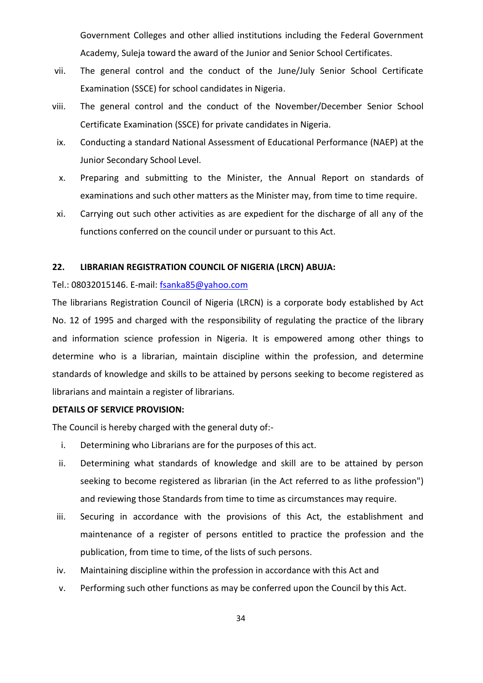Government Colleges and other allied institutions including the Federal Government Academy, Suleja toward the award of the Junior and Senior School Certificates.

- vii. The general control and the conduct of the June/July Senior School Certificate Examination (SSCE) for school candidates in Nigeria.
- viii. The general control and the conduct of the November/December Senior School Certificate Examination (SSCE) for private candidates in Nigeria.
- ix. Conducting a standard National Assessment of Educational Performance (NAEP) at the Junior Secondary School Level.
- x. Preparing and submitting to the Minister, the Annual Report on standards of examinations and such other matters as the Minister may, from time to time require.
- xi. Carrying out such other activities as are expedient for the discharge of all any of the functions conferred on the council under or pursuant to this Act.

#### **22. LIBRARIAN REGISTRATION COUNCIL OF NIGERIA (LRCN) ABUJA:**

#### Tel.: 08032015146. E-mail: [fsanka85@yahoo.com](mailto:fsanka85@yahoo.com)

The librarians Registration Council of Nigeria (LRCN) is a corporate body established by Act No. 12 of 1995 and charged with the responsibility of regulating the practice of the library and information science profession in Nigeria. It is empowered among other things to determine who is a librarian, maintain discipline within the profession, and determine standards of knowledge and skills to be attained by persons seeking to become registered as librarians and maintain a register of librarians.

#### **DETAILS OF SERVICE PROVISION:**

The Council is hereby charged with the general duty of:-

- i. Determining who Librarians are for the purposes of this act.
- ii. Determining what standards of knowledge and skill are to be attained by person seeking to become registered as librarian (in the Act referred to as lithe profession") and reviewing those Standards from time to time as circumstances may require.
- iii. Securing in accordance with the provisions of this Act, the establishment and maintenance of a register of persons entitled to practice the profession and the publication, from time to time, of the lists of such persons.
- iv. Maintaining discipline within the profession in accordance with this Act and
- v. Performing such other functions as may be conferred upon the Council by this Act.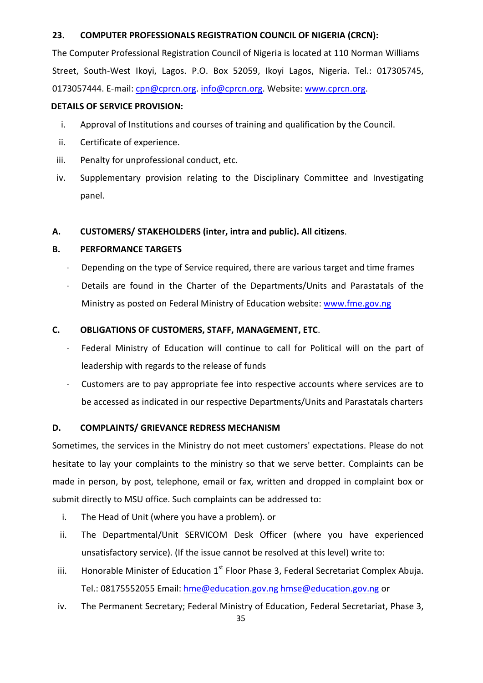### **23. COMPUTER PROFESSIONALS REGISTRATION COUNCIL OF NIGERIA (CRCN):**

The Computer Professional Registration Council of Nigeria is located at 110 Norman Williams Street, South-West Ikoyi, Lagos. P.O. Box 52059, Ikoyi Lagos, Nigeria. Tel.: 017305745, 0173057444. E-mail: [cpn@cprcn.org.](mailto:cpn@cprcn.org) [info@cprcn.org.](mailto:info@cprcn.org) Website[: www.cprcn.org.](http://www.cprcn.org/)

#### **DETAILS OF SERVICE PROVISION:**

- i. Approval of Institutions and courses of training and qualification by the Council.
- ii. Certificate of experience.
- iii. Penalty for unprofessional conduct, etc.
- iv. Supplementary provision relating to the Disciplinary Committee and Investigating panel.

#### **A. CUSTOMERS/ STAKEHOLDERS (inter, intra and public). All citizens**.

#### **B. PERFORMANCE TARGETS**

- $\cdot$  Depending on the type of Service required, there are various target and time frames
- Details are found in the Charter of the Departments/Units and Parastatals of the Ministry as posted on Federal Ministry of Education website: [www.fme.gov.ng](http://www.fme.gov.ng/)

#### **C. OBLIGATIONS OF CUSTOMERS, STAFF, MANAGEMENT, ETC**.

- Federal Ministry of Education will continue to call for Political will on the part of leadership with regards to the release of funds
- Customers are to pay appropriate fee into respective accounts where services are to be accessed as indicated in our respective Departments/Units and Parastatals charters

#### **D. COMPLAINTS/ GRIEVANCE REDRESS MECHANISM**

Sometimes, the services in the Ministry do not meet customers' expectations. Please do not hesitate to lay your complaints to the ministry so that we serve better. Complaints can be made in person, by post, telephone, email or fax, written and dropped in complaint box or submit directly to MSU office. Such complaints can be addressed to:

- i. The Head of Unit (where you have a problem). or
- ii. The Departmental/Unit SERVICOM Desk Officer (where you have experienced unsatisfactory service). (If the issue cannot be resolved at this level) write to:
- iii. Honorable Minister of Education  $1<sup>st</sup>$  Floor Phase 3, Federal Secretariat Complex Abuja. Tel.: 08175552055 Email: [hme@education.gov.ng](mailto:hme@education.gov.ng) [hmse@education.gov.ng](mailto:hmse@education.gov.ng) or
- iv. The Permanent Secretary; Federal Ministry of Education, Federal Secretariat, Phase 3,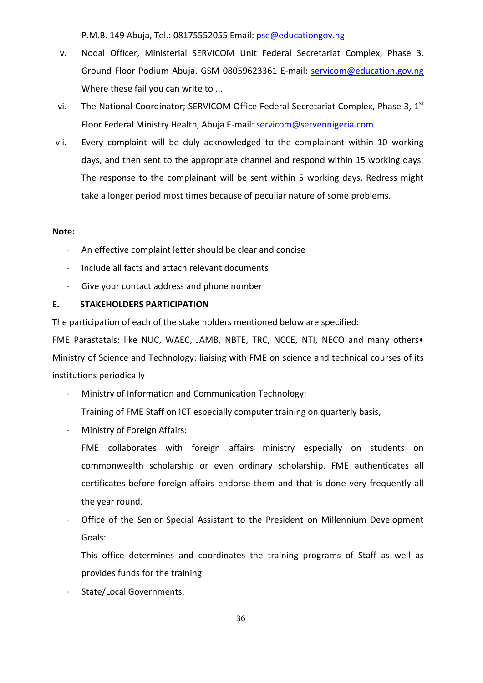P.M.B. 149 Abuja, Tel.: 08175552055 Email: [pse@educationgov.ng](mailto:pse@educationgov.ng)

- v. Nodal Officer, Ministerial SERVICOM Unit Federal Secretariat Complex, Phase 3, Ground Floor Podium Abuja. GSM 08059623361 E-mail: [servicom@education.gov.ng](mailto:servicom@education.gov.ng) Where these fail you can write to ...
- vi. The National Coordinator; SERVICOM Office Federal Secretariat Complex, Phase 3,  $1<sup>st</sup>$ Floor Federal Ministry Health, Abuja E-mail: [servicom@servennigeria.com](mailto:servicom@servennigeria.com)
- vii. Every complaint will be duly acknowledged to the complainant within 10 working days, and then sent to the appropriate channel and respond within 15 working days. The response to the complainant will be sent within 5 working days. Redress might take a longer period most times because of peculiar nature of some problems.

#### **Note:**

- An effective complaint letter should be clear and concise
- Include all facts and attach relevant documents
- $\cdot$  Give your contact address and phone number

#### **E. STAKEHOLDERS PARTICIPATION**

The participation of each of the stake holders mentioned below are specified:

FME Parastatals: like NUC, WAEC, JAMB, NBTE, TRC, NCCE, NTI, NECO and many others• Ministry of Science and Technology: liaising with FME on science and technical courses of its institutions periodically

- Ministry of Information and Communication Technology:
	- Training of FME Staff on ICT especially computer training on quarterly basis,
- Ministry of Foreign Affairs:
	- FME collaborates with foreign affairs ministry especially on students on commonwealth scholarship or even ordinary scholarship. FME authenticates all certificates before foreign affairs endorse them and that is done very frequently all the year round.
- Office of the Senior Special Assistant to the President on Millennium Development Goals:
	- This office determines and coordinates the training programs of Staff as well as provides funds for the training
- State/Local Governments: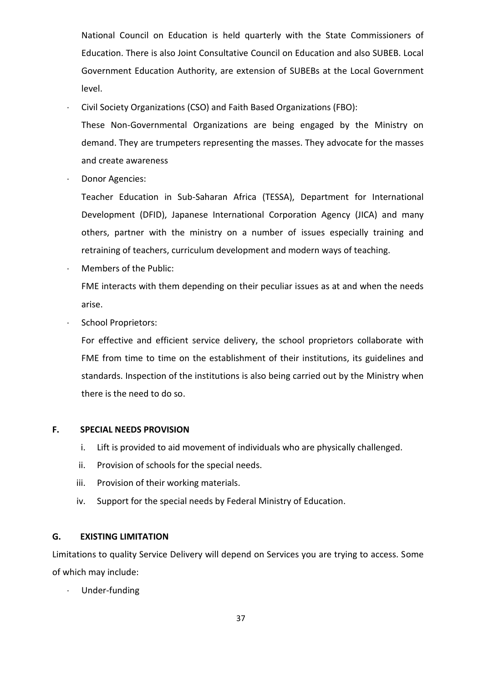National Council on Education is held quarterly with the State Commissioners of Education. There is also Joint Consultative Council on Education and also SUBEB. Local Government Education Authority, are extension of SUBEBs at the Local Government level.

Civil Society Organizations (CSO) and Faith Based Organizations (FBO):

These Non-Governmental Organizations are being engaged by the Ministry on demand. They are trumpeters representing the masses. They advocate for the masses and create awareness

Donor Agencies:

Teacher Education in Sub-Saharan Africa (TESSA), Department for International Development (DFID), Japanese International Corporation Agency (JICA) and many others, partner with the ministry on a number of issues especially training and retraining of teachers, curriculum development and modern ways of teaching.

- Members of the Public: FME interacts with them depending on their peculiar issues as at and when the needs arise.
- . School Proprietors:

For effective and efficient service delivery, the school proprietors collaborate with FME from time to time on the establishment of their institutions, its guidelines and standards. Inspection of the institutions is also being carried out by the Ministry when there is the need to do so.

#### **F. SPECIAL NEEDS PROVISION**

- i. Lift is provided to aid movement of individuals who are physically challenged.
- ii. Provision of schools for the special needs.
- iii. Provision of their working materials.
- iv. Support for the special needs by Federal Ministry of Education.

#### **G. EXISTING LIMITATION**

Limitations to quality Service Delivery will depend on Services you are trying to access. Some of which may include:

Under-funding